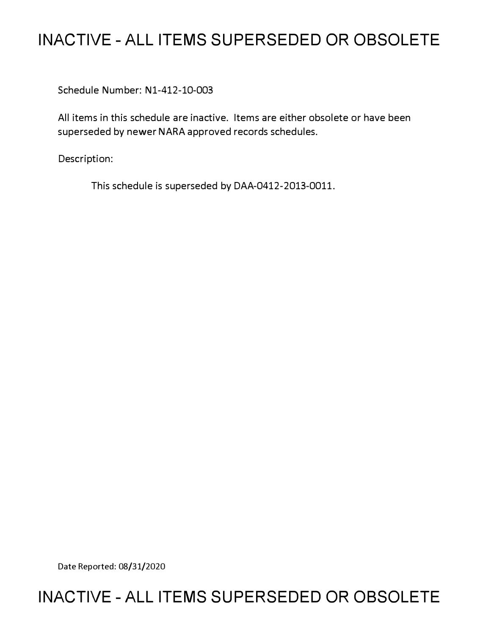# **INACTIVE - ALL ITEMS SUPERSEDED OR OBSOLETE**

Schedule Number: Nl-412-10-003

All items in this schedule are inactive. Items are either obsolete or have been superseded by newer NARA approved records schedules.

Description:

This schedule is superseded by DAA-0412-2013-0011.

Date Reported: 08/31/2020

# **INACTIVE - ALL ITEMS SUPERSEDED OR OBSOLETE**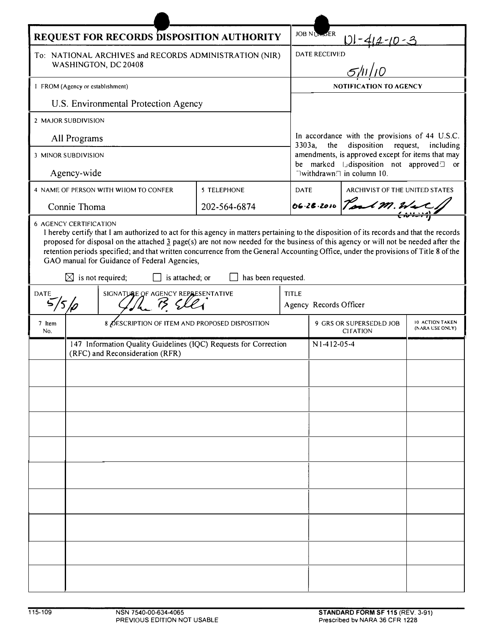| REQUEST FOR RECORDS DISPOSITION AUTHORITY                                      |                                                                                                     |                                                                                                                                                                                                                                                                                                                                                           |                     |              | <b>JOB NUMBER</b>                                                                                                                      |                                |                                    |  |
|--------------------------------------------------------------------------------|-----------------------------------------------------------------------------------------------------|-----------------------------------------------------------------------------------------------------------------------------------------------------------------------------------------------------------------------------------------------------------------------------------------------------------------------------------------------------------|---------------------|--------------|----------------------------------------------------------------------------------------------------------------------------------------|--------------------------------|------------------------------------|--|
| To: NATIONAL ARCHIVES and RECORDS ADMINISTRATION (NIR)<br>WASHINGTON, DC 20408 |                                                                                                     |                                                                                                                                                                                                                                                                                                                                                           |                     |              | $-412 - 10 - 3$<br>DATE RECEIVED                                                                                                       |                                |                                    |  |
|                                                                                |                                                                                                     |                                                                                                                                                                                                                                                                                                                                                           |                     |              |                                                                                                                                        |                                |                                    |  |
| I FROM (Agency or establishment)                                               |                                                                                                     |                                                                                                                                                                                                                                                                                                                                                           |                     |              | NOTIFICATION TO AGENCY                                                                                                                 |                                |                                    |  |
| U.S. Environmental Protection Agency                                           |                                                                                                     |                                                                                                                                                                                                                                                                                                                                                           |                     |              |                                                                                                                                        |                                |                                    |  |
| 2 MAJOR SUBDIVISION                                                            |                                                                                                     |                                                                                                                                                                                                                                                                                                                                                           |                     |              |                                                                                                                                        |                                |                                    |  |
| All Programs                                                                   |                                                                                                     |                                                                                                                                                                                                                                                                                                                                                           |                     |              | In accordance with the provisions of 44 U.S.C.<br>disposition<br>3303a,<br>the<br>request,<br>including                                |                                |                                    |  |
| 3 MINOR SUBDIVISION                                                            |                                                                                                     |                                                                                                                                                                                                                                                                                                                                                           |                     |              | amendments, is approved except for items that may<br>be marked IJdisposition not approved <sup>1</sup> or<br>Twithdrawn Tin column 10. |                                |                                    |  |
| Agency-wide                                                                    |                                                                                                     |                                                                                                                                                                                                                                                                                                                                                           |                     |              |                                                                                                                                        |                                |                                    |  |
|                                                                                |                                                                                                     | 4 NAME OF PERSON WITH WHOM TO CONFER                                                                                                                                                                                                                                                                                                                      | 5 TELEPHONE         | <b>DATE</b>  |                                                                                                                                        | ARCHIVIST OF THE UNITED STATES |                                    |  |
|                                                                                | Connie Thoma                                                                                        |                                                                                                                                                                                                                                                                                                                                                           | 202-564-6874        |              |                                                                                                                                        | 06.28.2010 Pord M. Wat         |                                    |  |
|                                                                                | $\boxtimes$ is not required;                                                                        | proposed for disposal on the attached $\frac{3}{2}$ page(s) are not now needed for the business of this agency or will not be needed after the<br>retention periods specified; and that written concurrence from the General Accounting Office, under the provisions of Title 8 of the<br>GAO manual for Guidance of Federal Agencies,<br>is attached; or | has been requested. |              |                                                                                                                                        |                                |                                    |  |
| DATE<br>SIGNATURE OF AGENCY REPRESENTATIVE<br>75<br>'5 Io                      |                                                                                                     |                                                                                                                                                                                                                                                                                                                                                           |                     | <b>TITLE</b> | Agency Records Officer                                                                                                                 |                                |                                    |  |
| 7 Item<br>No.                                                                  | 8 ØESCRIPTION OF ITEM AND PROPOSED DISPOSITION                                                      |                                                                                                                                                                                                                                                                                                                                                           |                     |              | 9 GRS OR SUPERSEDED JOB<br><b>CITATION</b>                                                                                             |                                | 10 ACTION TAKEN<br>(NARA USE ONLY) |  |
|                                                                                | 147 Information Quality Guidelines (IQC) Requests for Correction<br>(RFC) and Reconsideration (RFR) |                                                                                                                                                                                                                                                                                                                                                           |                     |              | N1-412-05-4                                                                                                                            |                                |                                    |  |
|                                                                                |                                                                                                     |                                                                                                                                                                                                                                                                                                                                                           |                     |              |                                                                                                                                        |                                |                                    |  |
|                                                                                |                                                                                                     |                                                                                                                                                                                                                                                                                                                                                           |                     |              |                                                                                                                                        |                                |                                    |  |
|                                                                                |                                                                                                     |                                                                                                                                                                                                                                                                                                                                                           |                     |              |                                                                                                                                        |                                |                                    |  |
|                                                                                |                                                                                                     |                                                                                                                                                                                                                                                                                                                                                           |                     |              |                                                                                                                                        |                                |                                    |  |
|                                                                                |                                                                                                     |                                                                                                                                                                                                                                                                                                                                                           |                     |              |                                                                                                                                        |                                |                                    |  |
|                                                                                |                                                                                                     |                                                                                                                                                                                                                                                                                                                                                           |                     |              |                                                                                                                                        |                                |                                    |  |
|                                                                                |                                                                                                     |                                                                                                                                                                                                                                                                                                                                                           |                     |              |                                                                                                                                        |                                |                                    |  |
|                                                                                |                                                                                                     |                                                                                                                                                                                                                                                                                                                                                           |                     |              |                                                                                                                                        |                                |                                    |  |
|                                                                                |                                                                                                     |                                                                                                                                                                                                                                                                                                                                                           |                     |              |                                                                                                                                        |                                |                                    |  |
|                                                                                |                                                                                                     |                                                                                                                                                                                                                                                                                                                                                           |                     |              |                                                                                                                                        |                                |                                    |  |
|                                                                                |                                                                                                     |                                                                                                                                                                                                                                                                                                                                                           |                     |              |                                                                                                                                        |                                |                                    |  |

 $\rightarrow$ 

 $\blacktriangleright$ z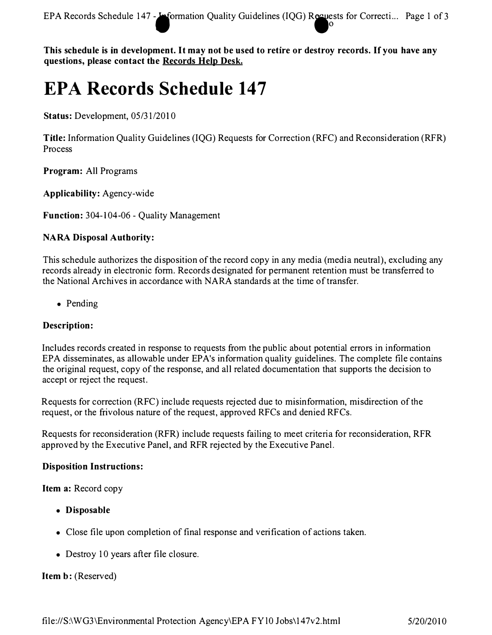**EPA Records Schedule 147 - <b>· ·** formation Quality Guidelines (IQG) Requests for Correcti... Page 1 of 3 **in the state of 3** 

**This schedule is in development. It may not be used to retire or destroy records. If you have any questions, please contact the Records Help Desk.** 

# **EPA Records Schedule 147**

**Status: Development, 05/31/2010** 

**Title: Information Quality Guidelines (IQG) Requests for Correction (RFC) and Reconsideration (RFR) Process** 

**Program: All Programs** 

**Applicability: Agency-wide** 

**Function: 304-104-06 - Quality Management** 

# **NARA Disposal Authority:**

**This schedule authorizes the disposition of the record copy in any media (media neutral), excluding any records already in electronic form. Records designated for permanent retention must be transferred to the National Archives in accordance with NARA standards at the time of transfer.** 

**• Pending** 

# **Description:**

**Includes records created in response to requests from the public about potential errors in information EPA disseminates, as allowable under EP A's information quality guidelines. The complete file contains the original request, copy of the response, and all related documentation that supports the decision to accept or reject the request.** 

**Requests for correction (RFC) include requests rejected due to misinformation, misdirection of the**  request, or the frivolous nature of the request, approved RFCs and denied RFCs.

**Requests for reconsideration (RFR) include requests failing to meet criteria for reconsideration, RFR approved by the Executive Panel, and RFR rejected by the Executive Panel.** 

#### **Disposition Instructions:**

**Item a: Record copy** 

- **Disposable**
- **Close file upon completion of final response and verification of actions taken.**
- **Destroy 10 years after file closure.**

#### **Item b: (Reserved)**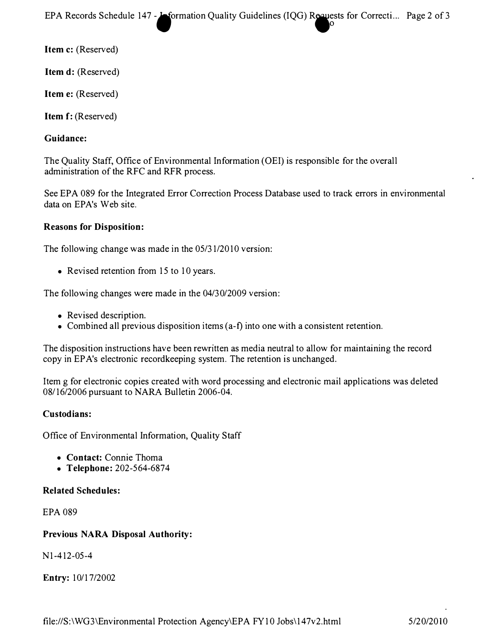**EPA Records Schedule 147 - Sormation Quality Guidelines (IQG) Requests for Correcti... Page 2 of 3 local contract to the set of 3 local contract of 3 local contract in the set of 3 local contract of 0 local contract in** 

**Item c: (Reserved)** 

**Item d: (Reserved)** 

**Item e: (Reserved)** 

**Item f: (Reserved)** 

### **Guidance:**

**The Quality Staff, Office of Environmental Information (OEI) is responsible for the overall administration of the RFC and RFR process.** 

**See EPA 089 for the Integrated Error Correction Process Database used to track errors in environmental data on EPA's Web site.** 

#### **Reasons for Disposition:**

**The following change was made in the 05/31/2010 version:** 

**• Revised retention from 15 to 10 years.** 

**The following changes were made in the 04/30/2009 version:** 

- **Revised description.**
- **Combined all previous disposition items (a-f) into one with a consistent retention.**

**The disposition instructions have been rewritten as media neutral to allow for maintaining the record copy in EP A's electronic recordkeeping system. The retention is unchanged.** 

**Item g for electronic copies created with word processing and electronic mail applications was deleted 08/16/2006 pursuant to NARA Bulletin 2006-04.** 

#### **Custodians:**

**Office of Environmental Information, Quality Staff** 

- **Contact: Connie Thoma**
- **Telephone: 202-564-6874**

#### **Related Schedules:**

**EPA 089** 

# **Previous NARA Disposal Authority:**

**N 1-412-05-4** 

**Entry: 10/17/2002**